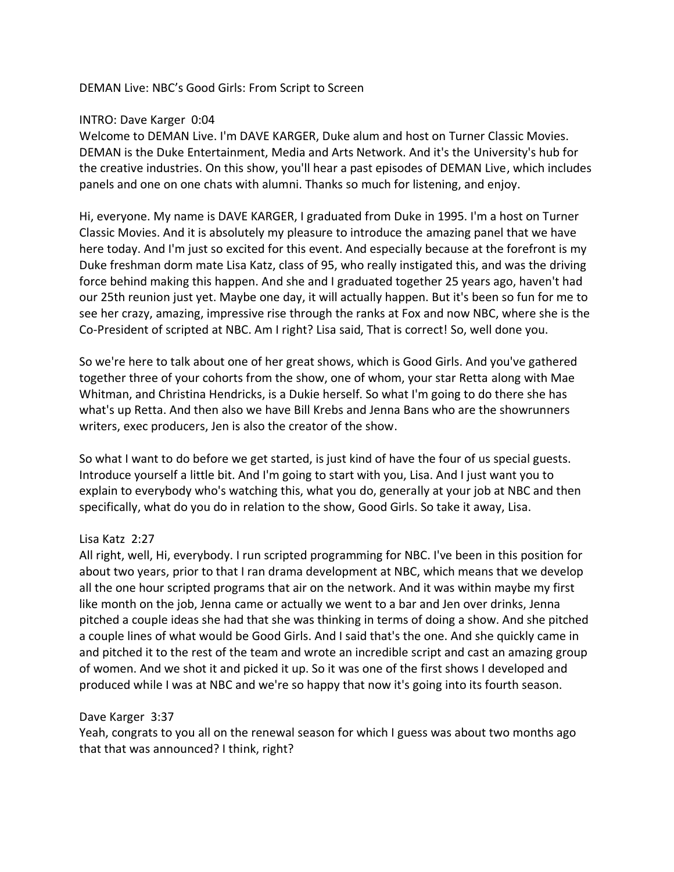#### DEMAN Live: NBC's Good Girls: From Script to Screen

#### INTRO: Dave Karger 0:04

Welcome to DEMAN Live. I'm DAVE KARGER, Duke alum and host on Turner Classic Movies. DEMAN is the Duke Entertainment, Media and Arts Network. And it's the University's hub for the creative industries. On this show, you'll hear a past episodes of DEMAN Live, which includes panels and one on one chats with alumni. Thanks so much for listening, and enjoy.

Hi, everyone. My name is DAVE KARGER, I graduated from Duke in 1995. I'm a host on Turner Classic Movies. And it is absolutely my pleasure to introduce the amazing panel that we have here today. And I'm just so excited for this event. And especially because at the forefront is my Duke freshman dorm mate Lisa Katz, class of 95, who really instigated this, and was the driving force behind making this happen. And she and I graduated together 25 years ago, haven't had our 25th reunion just yet. Maybe one day, it will actually happen. But it's been so fun for me to see her crazy, amazing, impressive rise through the ranks at Fox and now NBC, where she is the Co-President of scripted at NBC. Am I right? Lisa said, That is correct! So, well done you.

So we're here to talk about one of her great shows, which is Good Girls. And you've gathered together three of your cohorts from the show, one of whom, your star Retta along with Mae Whitman, and Christina Hendricks, is a Dukie herself. So what I'm going to do there she has what's up Retta. And then also we have Bill Krebs and Jenna Bans who are the showrunners writers, exec producers, Jen is also the creator of the show.

So what I want to do before we get started, is just kind of have the four of us special guests. Introduce yourself a little bit. And I'm going to start with you, Lisa. And I just want you to explain to everybody who's watching this, what you do, generally at your job at NBC and then specifically, what do you do in relation to the show, Good Girls. So take it away, Lisa.

#### Lisa Katz 2:27

All right, well, Hi, everybody. I run scripted programming for NBC. I've been in this position for about two years, prior to that I ran drama development at NBC, which means that we develop all the one hour scripted programs that air on the network. And it was within maybe my first like month on the job, Jenna came or actually we went to a bar and Jen over drinks, Jenna pitched a couple ideas she had that she was thinking in terms of doing a show. And she pitched a couple lines of what would be Good Girls. And I said that's the one. And she quickly came in and pitched it to the rest of the team and wrote an incredible script and cast an amazing group of women. And we shot it and picked it up. So it was one of the first shows I developed and produced while I was at NBC and we're so happy that now it's going into its fourth season.

#### Dave Karger 3:37

Yeah, congrats to you all on the renewal season for which I guess was about two months ago that that was announced? I think, right?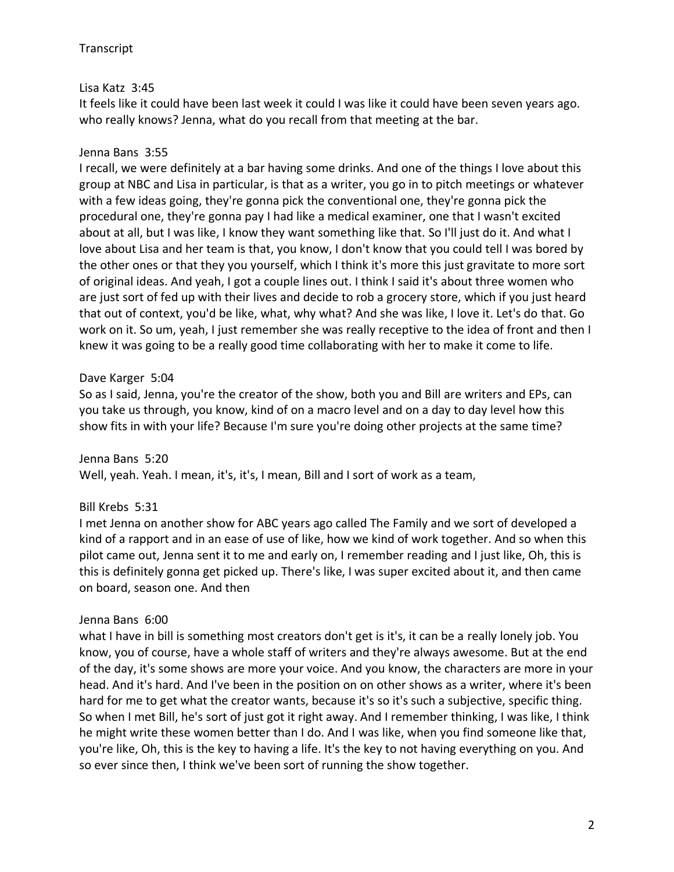# Lisa Katz 3:45

It feels like it could have been last week it could I was like it could have been seven years ago. who really knows? Jenna, what do you recall from that meeting at the bar.

## Jenna Bans 3:55

I recall, we were definitely at a bar having some drinks. And one of the things I love about this group at NBC and Lisa in particular, is that as a writer, you go in to pitch meetings or whatever with a few ideas going, they're gonna pick the conventional one, they're gonna pick the procedural one, they're gonna pay I had like a medical examiner, one that I wasn't excited about at all, but I was like, I know they want something like that. So I'll just do it. And what I love about Lisa and her team is that, you know, I don't know that you could tell I was bored by the other ones or that they you yourself, which I think it's more this just gravitate to more sort of original ideas. And yeah, I got a couple lines out. I think I said it's about three women who are just sort of fed up with their lives and decide to rob a grocery store, which if you just heard that out of context, you'd be like, what, why what? And she was like, I love it. Let's do that. Go work on it. So um, yeah, I just remember she was really receptive to the idea of front and then I knew it was going to be a really good time collaborating with her to make it come to life.

## Dave Karger 5:04

So as I said, Jenna, you're the creator of the show, both you and Bill are writers and EPs, can you take us through, you know, kind of on a macro level and on a day to day level how this show fits in with your life? Because I'm sure you're doing other projects at the same time?

Jenna Bans 5:20

Well, yeah. Yeah. I mean, it's, it's, I mean, Bill and I sort of work as a team,

## Bill Krebs 5:31

I met Jenna on another show for ABC years ago called The Family and we sort of developed a kind of a rapport and in an ease of use of like, how we kind of work together. And so when this pilot came out, Jenna sent it to me and early on, I remember reading and I just like, Oh, this is this is definitely gonna get picked up. There's like, I was super excited about it, and then came on board, season one. And then

## Jenna Bans 6:00

what I have in bill is something most creators don't get is it's, it can be a really lonely job. You know, you of course, have a whole staff of writers and they're always awesome. But at the end of the day, it's some shows are more your voice. And you know, the characters are more in your head. And it's hard. And I've been in the position on on other shows as a writer, where it's been hard for me to get what the creator wants, because it's so it's such a subjective, specific thing. So when I met Bill, he's sort of just got it right away. And I remember thinking, I was like, I think he might write these women better than I do. And I was like, when you find someone like that, you're like, Oh, this is the key to having a life. It's the key to not having everything on you. And so ever since then, I think we've been sort of running the show together.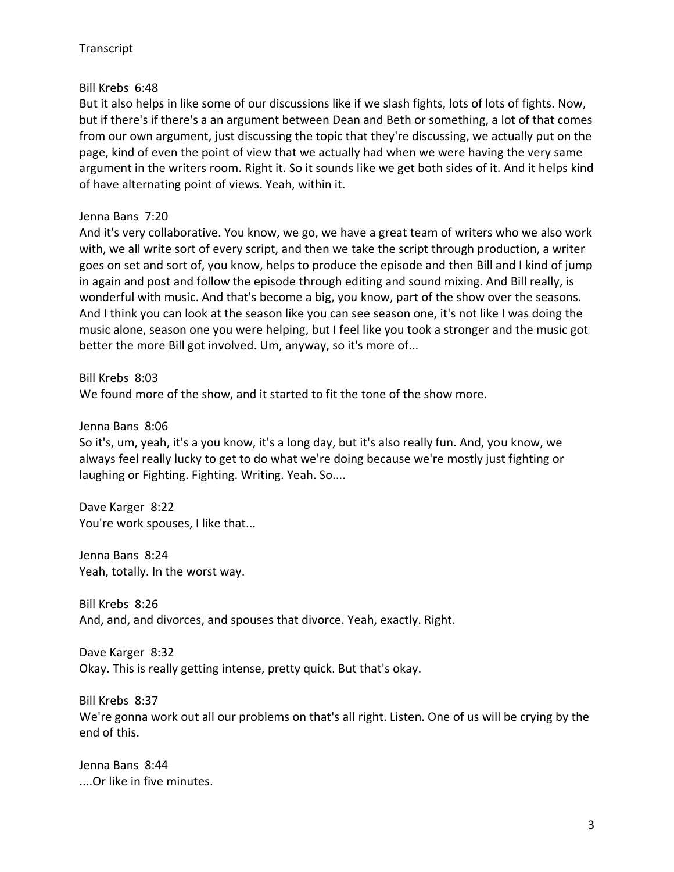## Bill Krebs 6:48

But it also helps in like some of our discussions like if we slash fights, lots of lots of fights. Now, but if there's if there's a an argument between Dean and Beth or something, a lot of that comes from our own argument, just discussing the topic that they're discussing, we actually put on the page, kind of even the point of view that we actually had when we were having the very same argument in the writers room. Right it. So it sounds like we get both sides of it. And it helps kind of have alternating point of views. Yeah, within it.

# Jenna Bans 7:20

And it's very collaborative. You know, we go, we have a great team of writers who we also work with, we all write sort of every script, and then we take the script through production, a writer goes on set and sort of, you know, helps to produce the episode and then Bill and I kind of jump in again and post and follow the episode through editing and sound mixing. And Bill really, is wonderful with music. And that's become a big, you know, part of the show over the seasons. And I think you can look at the season like you can see season one, it's not like I was doing the music alone, season one you were helping, but I feel like you took a stronger and the music got better the more Bill got involved. Um, anyway, so it's more of...

Bill Krebs 8:03

We found more of the show, and it started to fit the tone of the show more.

Jenna Bans 8:06

So it's, um, yeah, it's a you know, it's a long day, but it's also really fun. And, you know, we always feel really lucky to get to do what we're doing because we're mostly just fighting or laughing or Fighting. Fighting. Writing. Yeah. So....

Dave Karger 8:22 You're work spouses, I like that...

Jenna Bans 8:24 Yeah, totally. In the worst way.

Bill Krebs 8:26 And, and, and divorces, and spouses that divorce. Yeah, exactly. Right.

Dave Karger 8:32 Okay. This is really getting intense, pretty quick. But that's okay.

Bill Krebs 8:37

We're gonna work out all our problems on that's all right. Listen. One of us will be crying by the end of this.

Jenna Bans 8:44 ....Or like in five minutes.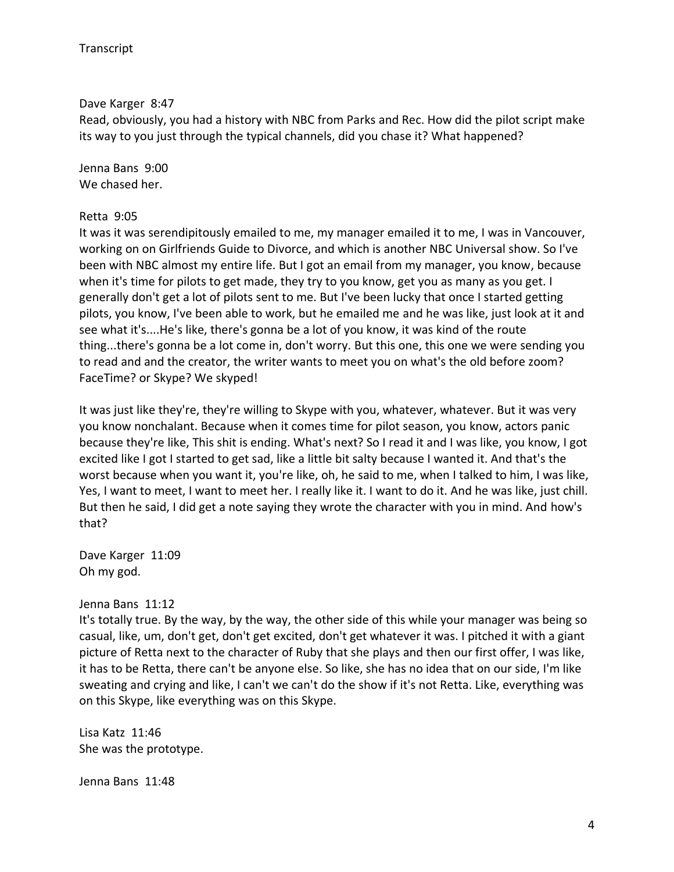Dave Karger 8:47

Read, obviously, you had a history with NBC from Parks and Rec. How did the pilot script make its way to you just through the typical channels, did you chase it? What happened?

Jenna Bans 9:00 We chased her.

#### Retta 9:05

It was it was serendipitously emailed to me, my manager emailed it to me, I was in Vancouver, working on on Girlfriends Guide to Divorce, and which is another NBC Universal show. So I've been with NBC almost my entire life. But I got an email from my manager, you know, because when it's time for pilots to get made, they try to you know, get you as many as you get. I generally don't get a lot of pilots sent to me. But I've been lucky that once I started getting pilots, you know, I've been able to work, but he emailed me and he was like, just look at it and see what it's....He's like, there's gonna be a lot of you know, it was kind of the route thing...there's gonna be a lot come in, don't worry. But this one, this one we were sending you to read and and the creator, the writer wants to meet you on what's the old before zoom? FaceTime? or Skype? We skyped!

It was just like they're, they're willing to Skype with you, whatever, whatever. But it was very you know nonchalant. Because when it comes time for pilot season, you know, actors panic because they're like, This shit is ending. What's next? So I read it and I was like, you know, I got excited like I got I started to get sad, like a little bit salty because I wanted it. And that's the worst because when you want it, you're like, oh, he said to me, when I talked to him, I was like, Yes, I want to meet, I want to meet her. I really like it. I want to do it. And he was like, just chill. But then he said, I did get a note saying they wrote the character with you in mind. And how's that?

Dave Karger 11:09 Oh my god.

#### Jenna Bans 11:12

It's totally true. By the way, by the way, the other side of this while your manager was being so casual, like, um, don't get, don't get excited, don't get whatever it was. I pitched it with a giant picture of Retta next to the character of Ruby that she plays and then our first offer, I was like, it has to be Retta, there can't be anyone else. So like, she has no idea that on our side, I'm like sweating and crying and like, I can't we can't do the show if it's not Retta. Like, everything was on this Skype, like everything was on this Skype.

Lisa Katz 11:46 She was the prototype.

Jenna Bans 11:48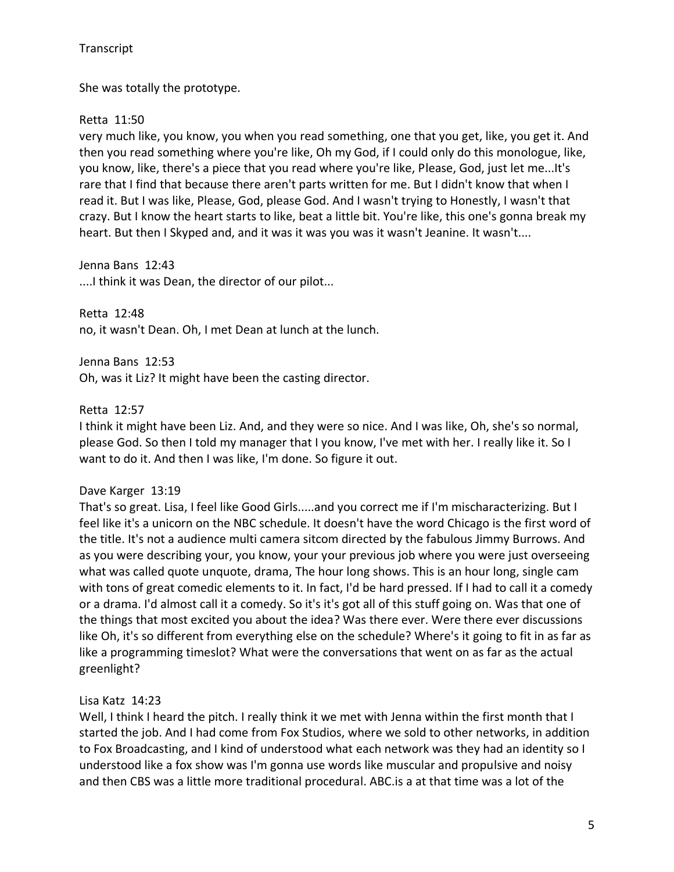She was totally the prototype.

# Retta 11:50

very much like, you know, you when you read something, one that you get, like, you get it. And then you read something where you're like, Oh my God, if I could only do this monologue, like, you know, like, there's a piece that you read where you're like, Please, God, just let me...It's rare that I find that because there aren't parts written for me. But I didn't know that when I read it. But I was like, Please, God, please God. And I wasn't trying to Honestly, I wasn't that crazy. But I know the heart starts to like, beat a little bit. You're like, this one's gonna break my heart. But then I Skyped and, and it was it was you was it wasn't Jeanine. It wasn't....

Jenna Bans 12:43 ....I think it was Dean, the director of our pilot...

Retta 12:48 no, it wasn't Dean. Oh, I met Dean at lunch at the lunch.

Jenna Bans 12:53 Oh, was it Liz? It might have been the casting director.

## Retta 12:57

I think it might have been Liz. And, and they were so nice. And I was like, Oh, she's so normal, please God. So then I told my manager that I you know, I've met with her. I really like it. So I want to do it. And then I was like, I'm done. So figure it out.

## Dave Karger 13:19

That's so great. Lisa, I feel like Good Girls.....and you correct me if I'm mischaracterizing. But I feel like it's a unicorn on the NBC schedule. It doesn't have the word Chicago is the first word of the title. It's not a audience multi camera sitcom directed by the fabulous Jimmy Burrows. And as you were describing your, you know, your your previous job where you were just overseeing what was called quote unquote, drama, The hour long shows. This is an hour long, single cam with tons of great comedic elements to it. In fact, I'd be hard pressed. If I had to call it a comedy or a drama. I'd almost call it a comedy. So it's it's got all of this stuff going on. Was that one of the things that most excited you about the idea? Was there ever. Were there ever discussions like Oh, it's so different from everything else on the schedule? Where's it going to fit in as far as like a programming timeslot? What were the conversations that went on as far as the actual greenlight?

# Lisa Katz 14:23

Well, I think I heard the pitch. I really think it we met with Jenna within the first month that I started the job. And I had come from Fox Studios, where we sold to other networks, in addition to Fox Broadcasting, and I kind of understood what each network was they had an identity so I understood like a fox show was I'm gonna use words like muscular and propulsive and noisy and then CBS was a little more traditional procedural. ABC.is a at that time was a lot of the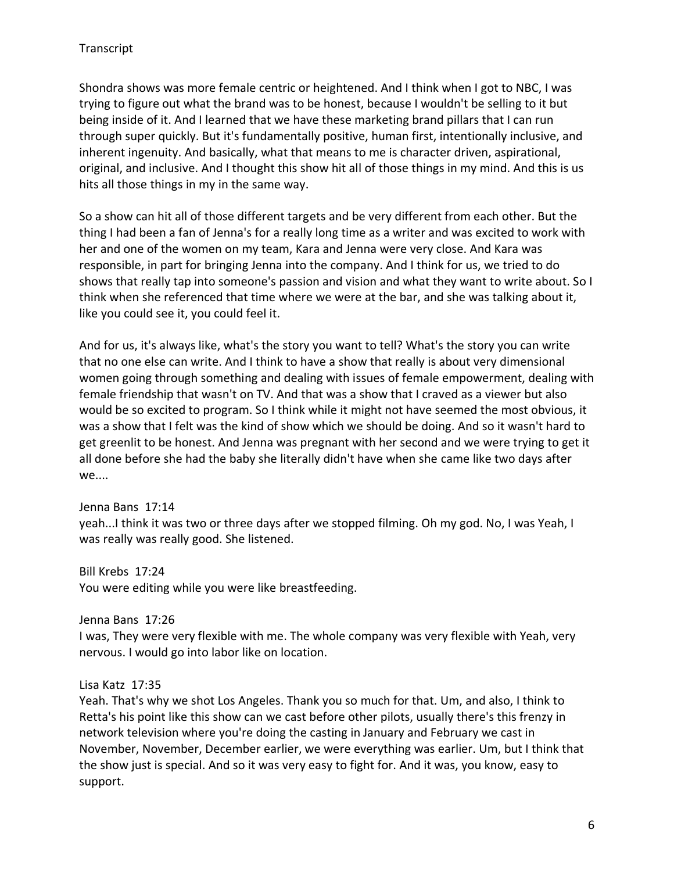Shondra shows was more female centric or heightened. And I think when I got to NBC, I was trying to figure out what the brand was to be honest, because I wouldn't be selling to it but being inside of it. And I learned that we have these marketing brand pillars that I can run through super quickly. But it's fundamentally positive, human first, intentionally inclusive, and inherent ingenuity. And basically, what that means to me is character driven, aspirational, original, and inclusive. And I thought this show hit all of those things in my mind. And this is us hits all those things in my in the same way.

So a show can hit all of those different targets and be very different from each other. But the thing I had been a fan of Jenna's for a really long time as a writer and was excited to work with her and one of the women on my team, Kara and Jenna were very close. And Kara was responsible, in part for bringing Jenna into the company. And I think for us, we tried to do shows that really tap into someone's passion and vision and what they want to write about. So I think when she referenced that time where we were at the bar, and she was talking about it, like you could see it, you could feel it.

And for us, it's always like, what's the story you want to tell? What's the story you can write that no one else can write. And I think to have a show that really is about very dimensional women going through something and dealing with issues of female empowerment, dealing with female friendship that wasn't on TV. And that was a show that I craved as a viewer but also would be so excited to program. So I think while it might not have seemed the most obvious, it was a show that I felt was the kind of show which we should be doing. And so it wasn't hard to get greenlit to be honest. And Jenna was pregnant with her second and we were trying to get it all done before she had the baby she literally didn't have when she came like two days after we....

## Jenna Bans 17:14

yeah...I think it was two or three days after we stopped filming. Oh my god. No, I was Yeah, I was really was really good. She listened.

Bill Krebs 17:24

You were editing while you were like breastfeeding.

Jenna Bans 17:26

I was, They were very flexible with me. The whole company was very flexible with Yeah, very nervous. I would go into labor like on location.

## Lisa Katz 17:35

Yeah. That's why we shot Los Angeles. Thank you so much for that. Um, and also, I think to Retta's his point like this show can we cast before other pilots, usually there's this frenzy in network television where you're doing the casting in January and February we cast in November, November, December earlier, we were everything was earlier. Um, but I think that the show just is special. And so it was very easy to fight for. And it was, you know, easy to support.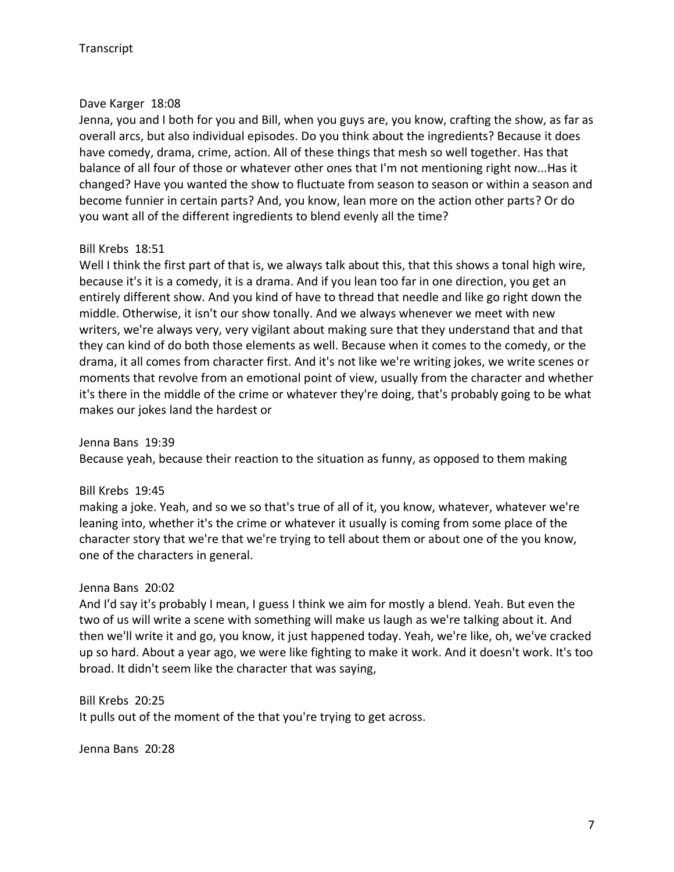#### Dave Karger 18:08

Jenna, you and I both for you and Bill, when you guys are, you know, crafting the show, as far as overall arcs, but also individual episodes. Do you think about the ingredients? Because it does have comedy, drama, crime, action. All of these things that mesh so well together. Has that balance of all four of those or whatever other ones that I'm not mentioning right now...Has it changed? Have you wanted the show to fluctuate from season to season or within a season and become funnier in certain parts? And, you know, lean more on the action other parts? Or do you want all of the different ingredients to blend evenly all the time?

#### Bill Krebs 18:51

Well I think the first part of that is, we always talk about this, that this shows a tonal high wire, because it's it is a comedy, it is a drama. And if you lean too far in one direction, you get an entirely different show. And you kind of have to thread that needle and like go right down the middle. Otherwise, it isn't our show tonally. And we always whenever we meet with new writers, we're always very, very vigilant about making sure that they understand that and that they can kind of do both those elements as well. Because when it comes to the comedy, or the drama, it all comes from character first. And it's not like we're writing jokes, we write scenes or moments that revolve from an emotional point of view, usually from the character and whether it's there in the middle of the crime or whatever they're doing, that's probably going to be what makes our jokes land the hardest or

Jenna Bans 19:39 Because yeah, because their reaction to the situation as funny, as opposed to them making

Bill Krebs 19:45 making a joke. Yeah, and so we so that's true of all of it, you know, whatever, whatever we're leaning into, whether it's the crime or whatever it usually is coming from some place of the character story that we're that we're trying to tell about them or about one of the you know, one of the characters in general.

#### Jenna Bans 20:02

And I'd say it's probably I mean, I guess I think we aim for mostly a blend. Yeah. But even the two of us will write a scene with something will make us laugh as we're talking about it. And then we'll write it and go, you know, it just happened today. Yeah, we're like, oh, we've cracked up so hard. About a year ago, we were like fighting to make it work. And it doesn't work. It's too broad. It didn't seem like the character that was saying,

Bill Krebs 20:25 It pulls out of the moment of the that you're trying to get across.

Jenna Bans 20:28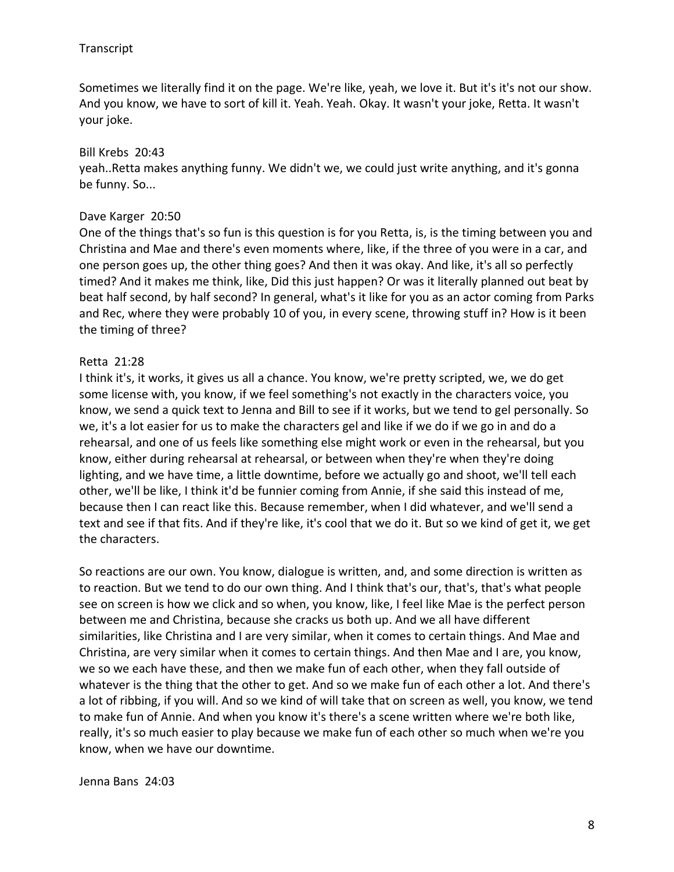Sometimes we literally find it on the page. We're like, yeah, we love it. But it's it's not our show. And you know, we have to sort of kill it. Yeah. Yeah. Okay. It wasn't your joke, Retta. It wasn't your joke.

#### Bill Krebs 20:43

yeah..Retta makes anything funny. We didn't we, we could just write anything, and it's gonna be funny. So...

#### Dave Karger 20:50

One of the things that's so fun is this question is for you Retta, is, is the timing between you and Christina and Mae and there's even moments where, like, if the three of you were in a car, and one person goes up, the other thing goes? And then it was okay. And like, it's all so perfectly timed? And it makes me think, like, Did this just happen? Or was it literally planned out beat by beat half second, by half second? In general, what's it like for you as an actor coming from Parks and Rec, where they were probably 10 of you, in every scene, throwing stuff in? How is it been the timing of three?

#### Retta 21:28

I think it's, it works, it gives us all a chance. You know, we're pretty scripted, we, we do get some license with, you know, if we feel something's not exactly in the characters voice, you know, we send a quick text to Jenna and Bill to see if it works, but we tend to gel personally. So we, it's a lot easier for us to make the characters gel and like if we do if we go in and do a rehearsal, and one of us feels like something else might work or even in the rehearsal, but you know, either during rehearsal at rehearsal, or between when they're when they're doing lighting, and we have time, a little downtime, before we actually go and shoot, we'll tell each other, we'll be like, I think it'd be funnier coming from Annie, if she said this instead of me, because then I can react like this. Because remember, when I did whatever, and we'll send a text and see if that fits. And if they're like, it's cool that we do it. But so we kind of get it, we get the characters.

So reactions are our own. You know, dialogue is written, and, and some direction is written as to reaction. But we tend to do our own thing. And I think that's our, that's, that's what people see on screen is how we click and so when, you know, like, I feel like Mae is the perfect person between me and Christina, because she cracks us both up. And we all have different similarities, like Christina and I are very similar, when it comes to certain things. And Mae and Christina, are very similar when it comes to certain things. And then Mae and I are, you know, we so we each have these, and then we make fun of each other, when they fall outside of whatever is the thing that the other to get. And so we make fun of each other a lot. And there's a lot of ribbing, if you will. And so we kind of will take that on screen as well, you know, we tend to make fun of Annie. And when you know it's there's a scene written where we're both like, really, it's so much easier to play because we make fun of each other so much when we're you know, when we have our downtime.

#### Jenna Bans 24:03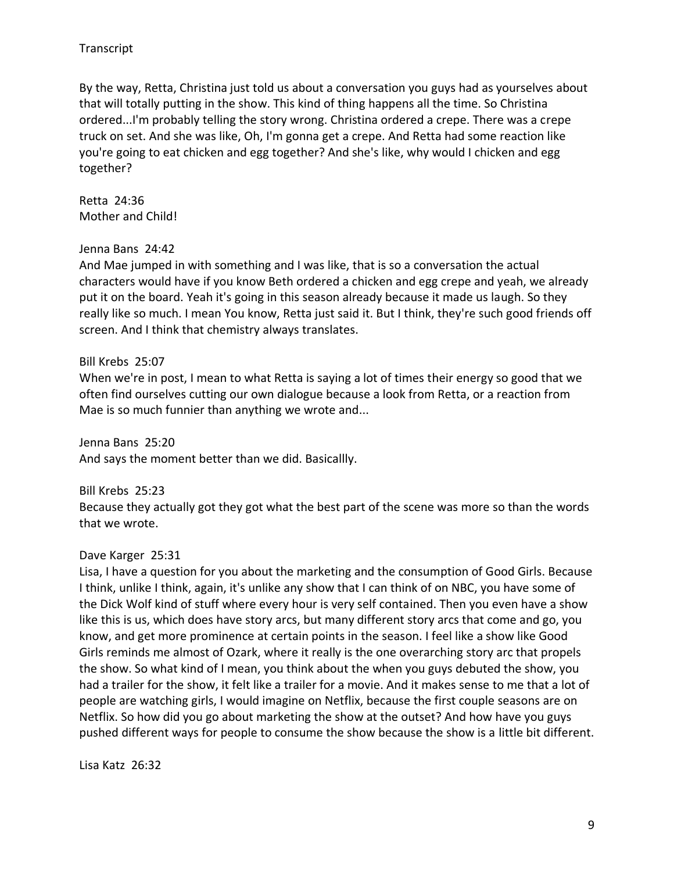By the way, Retta, Christina just told us about a conversation you guys had as yourselves about that will totally putting in the show. This kind of thing happens all the time. So Christina ordered...I'm probably telling the story wrong. Christina ordered a crepe. There was a crepe truck on set. And she was like, Oh, I'm gonna get a crepe. And Retta had some reaction like you're going to eat chicken and egg together? And she's like, why would I chicken and egg together?

Retta 24:36 Mother and Child!

#### Jenna Bans 24:42

And Mae jumped in with something and I was like, that is so a conversation the actual characters would have if you know Beth ordered a chicken and egg crepe and yeah, we already put it on the board. Yeah it's going in this season already because it made us laugh. So they really like so much. I mean You know, Retta just said it. But I think, they're such good friends off screen. And I think that chemistry always translates.

#### Bill Krebs 25:07

When we're in post, I mean to what Retta is saying a lot of times their energy so good that we often find ourselves cutting our own dialogue because a look from Retta, or a reaction from Mae is so much funnier than anything we wrote and...

Jenna Bans 25:20 And says the moment better than we did. Basicallly.

Bill Krebs 25:23

Because they actually got they got what the best part of the scene was more so than the words that we wrote.

#### Dave Karger 25:31

Lisa, I have a question for you about the marketing and the consumption of Good Girls. Because I think, unlike I think, again, it's unlike any show that I can think of on NBC, you have some of the Dick Wolf kind of stuff where every hour is very self contained. Then you even have a show like this is us, which does have story arcs, but many different story arcs that come and go, you know, and get more prominence at certain points in the season. I feel like a show like Good Girls reminds me almost of Ozark, where it really is the one overarching story arc that propels the show. So what kind of I mean, you think about the when you guys debuted the show, you had a trailer for the show, it felt like a trailer for a movie. And it makes sense to me that a lot of people are watching girls, I would imagine on Netflix, because the first couple seasons are on Netflix. So how did you go about marketing the show at the outset? And how have you guys pushed different ways for people to consume the show because the show is a little bit different.

Lisa Katz 26:32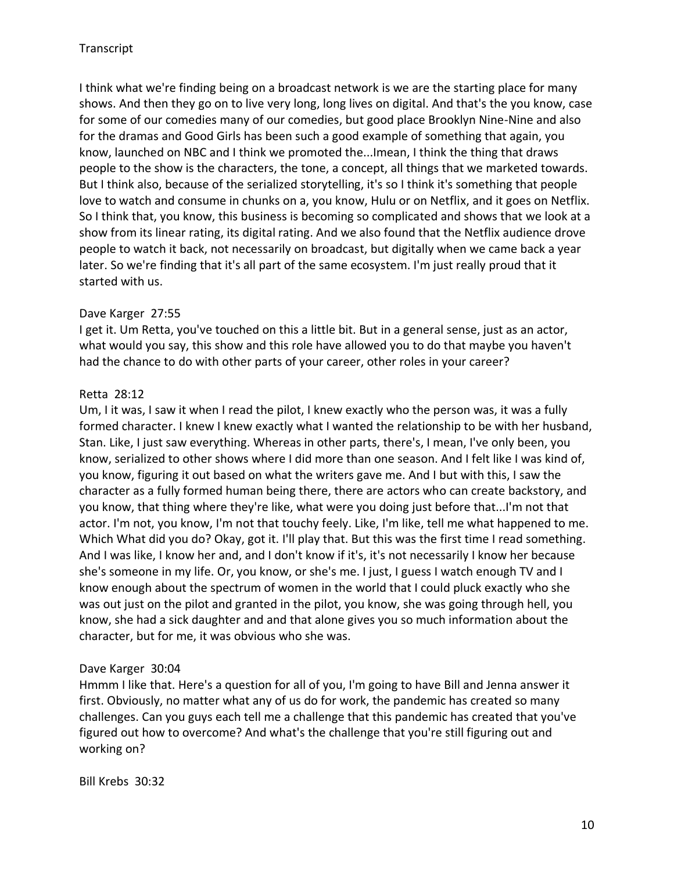I think what we're finding being on a broadcast network is we are the starting place for many shows. And then they go on to live very long, long lives on digital. And that's the you know, case for some of our comedies many of our comedies, but good place Brooklyn Nine-Nine and also for the dramas and Good Girls has been such a good example of something that again, you know, launched on NBC and I think we promoted the...Imean, I think the thing that draws people to the show is the characters, the tone, a concept, all things that we marketed towards. But I think also, because of the serialized storytelling, it's so I think it's something that people love to watch and consume in chunks on a, you know, Hulu or on Netflix, and it goes on Netflix. So I think that, you know, this business is becoming so complicated and shows that we look at a show from its linear rating, its digital rating. And we also found that the Netflix audience drove people to watch it back, not necessarily on broadcast, but digitally when we came back a year later. So we're finding that it's all part of the same ecosystem. I'm just really proud that it started with us.

#### Dave Karger 27:55

I get it. Um Retta, you've touched on this a little bit. But in a general sense, just as an actor, what would you say, this show and this role have allowed you to do that maybe you haven't had the chance to do with other parts of your career, other roles in your career?

## Retta 28:12

Um, I it was, I saw it when I read the pilot, I knew exactly who the person was, it was a fully formed character. I knew I knew exactly what I wanted the relationship to be with her husband, Stan. Like, I just saw everything. Whereas in other parts, there's, I mean, I've only been, you know, serialized to other shows where I did more than one season. And I felt like I was kind of, you know, figuring it out based on what the writers gave me. And I but with this, I saw the character as a fully formed human being there, there are actors who can create backstory, and you know, that thing where they're like, what were you doing just before that...I'm not that actor. I'm not, you know, I'm not that touchy feely. Like, I'm like, tell me what happened to me. Which What did you do? Okay, got it. I'll play that. But this was the first time I read something. And I was like, I know her and, and I don't know if it's, it's not necessarily I know her because she's someone in my life. Or, you know, or she's me. I just, I guess I watch enough TV and I know enough about the spectrum of women in the world that I could pluck exactly who she was out just on the pilot and granted in the pilot, you know, she was going through hell, you know, she had a sick daughter and and that alone gives you so much information about the character, but for me, it was obvious who she was.

## Dave Karger 30:04

Hmmm I like that. Here's a question for all of you, I'm going to have Bill and Jenna answer it first. Obviously, no matter what any of us do for work, the pandemic has created so many challenges. Can you guys each tell me a challenge that this pandemic has created that you've figured out how to overcome? And what's the challenge that you're still figuring out and working on?

Bill Krebs 30:32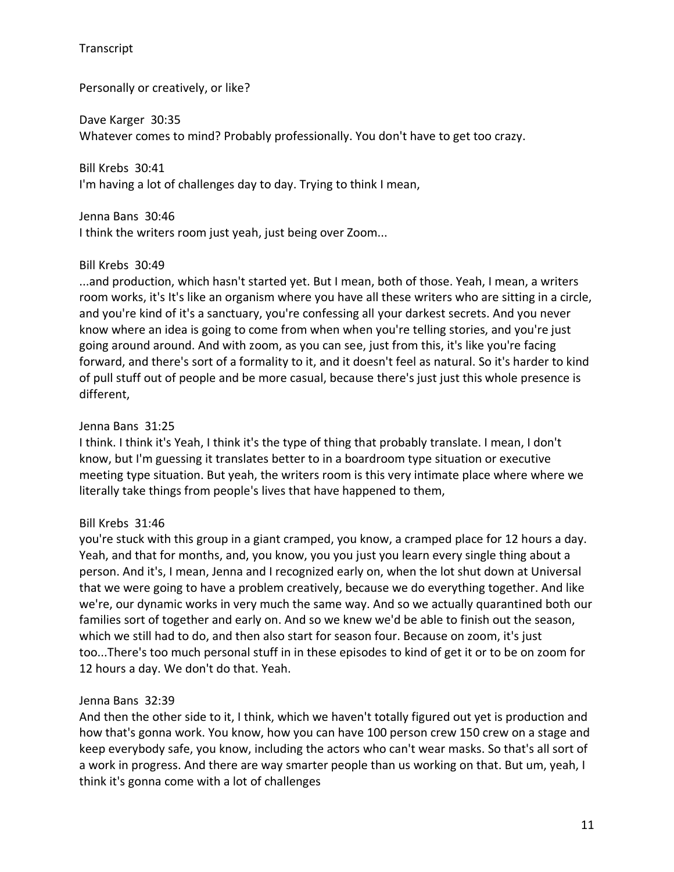Personally or creatively, or like?

Dave Karger 30:35 Whatever comes to mind? Probably professionally. You don't have to get too crazy.

Bill Krebs 30:41 I'm having a lot of challenges day to day. Trying to think I mean,

Jenna Bans 30:46 I think the writers room just yeah, just being over Zoom...

# Bill Krebs 30:49

...and production, which hasn't started yet. But I mean, both of those. Yeah, I mean, a writers room works, it's It's like an organism where you have all these writers who are sitting in a circle, and you're kind of it's a sanctuary, you're confessing all your darkest secrets. And you never know where an idea is going to come from when when you're telling stories, and you're just going around around. And with zoom, as you can see, just from this, it's like you're facing forward, and there's sort of a formality to it, and it doesn't feel as natural. So it's harder to kind of pull stuff out of people and be more casual, because there's just just this whole presence is different,

# Jenna Bans 31:25

I think. I think it's Yeah, I think it's the type of thing that probably translate. I mean, I don't know, but I'm guessing it translates better to in a boardroom type situation or executive meeting type situation. But yeah, the writers room is this very intimate place where where we literally take things from people's lives that have happened to them,

# Bill Krebs 31:46

you're stuck with this group in a giant cramped, you know, a cramped place for 12 hours a day. Yeah, and that for months, and, you know, you you just you learn every single thing about a person. And it's, I mean, Jenna and I recognized early on, when the lot shut down at Universal that we were going to have a problem creatively, because we do everything together. And like we're, our dynamic works in very much the same way. And so we actually quarantined both our families sort of together and early on. And so we knew we'd be able to finish out the season, which we still had to do, and then also start for season four. Because on zoom, it's just too...There's too much personal stuff in in these episodes to kind of get it or to be on zoom for 12 hours a day. We don't do that. Yeah.

## Jenna Bans 32:39

And then the other side to it, I think, which we haven't totally figured out yet is production and how that's gonna work. You know, how you can have 100 person crew 150 crew on a stage and keep everybody safe, you know, including the actors who can't wear masks. So that's all sort of a work in progress. And there are way smarter people than us working on that. But um, yeah, I think it's gonna come with a lot of challenges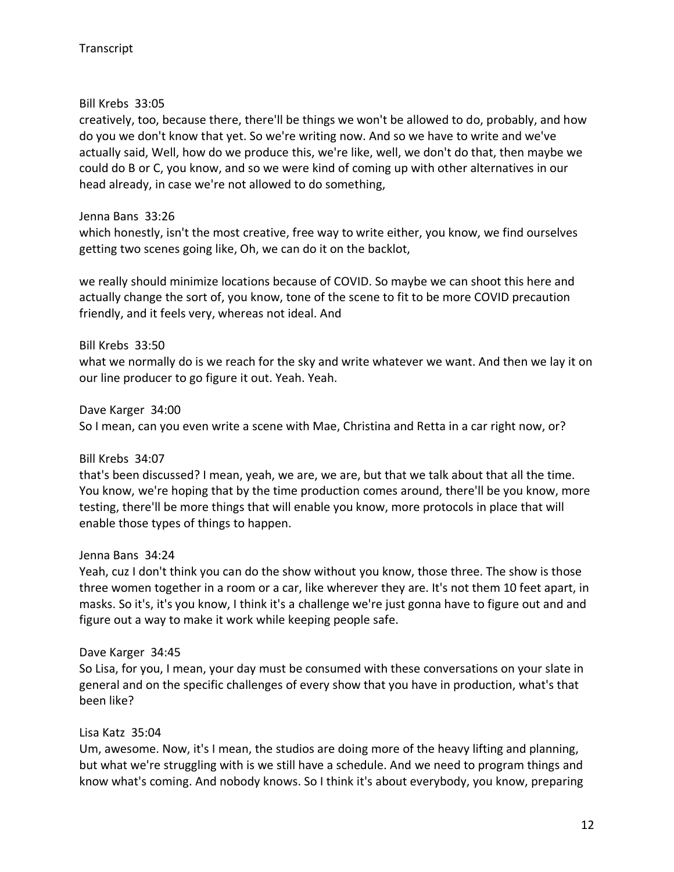## Bill Krebs 33:05

creatively, too, because there, there'll be things we won't be allowed to do, probably, and how do you we don't know that yet. So we're writing now. And so we have to write and we've actually said, Well, how do we produce this, we're like, well, we don't do that, then maybe we could do B or C, you know, and so we were kind of coming up with other alternatives in our head already, in case we're not allowed to do something,

# Jenna Bans 33:26

which honestly, isn't the most creative, free way to write either, you know, we find ourselves getting two scenes going like, Oh, we can do it on the backlot,

we really should minimize locations because of COVID. So maybe we can shoot this here and actually change the sort of, you know, tone of the scene to fit to be more COVID precaution friendly, and it feels very, whereas not ideal. And

# Bill Krebs 33:50

what we normally do is we reach for the sky and write whatever we want. And then we lay it on our line producer to go figure it out. Yeah. Yeah.

Dave Karger 34:00

So I mean, can you even write a scene with Mae, Christina and Retta in a car right now, or?

## Bill Krebs 34:07

that's been discussed? I mean, yeah, we are, we are, but that we talk about that all the time. You know, we're hoping that by the time production comes around, there'll be you know, more testing, there'll be more things that will enable you know, more protocols in place that will enable those types of things to happen.

## Jenna Bans 34:24

Yeah, cuz I don't think you can do the show without you know, those three. The show is those three women together in a room or a car, like wherever they are. It's not them 10 feet apart, in masks. So it's, it's you know, I think it's a challenge we're just gonna have to figure out and and figure out a way to make it work while keeping people safe.

## Dave Karger 34:45

So Lisa, for you, I mean, your day must be consumed with these conversations on your slate in general and on the specific challenges of every show that you have in production, what's that been like?

## Lisa Katz 35:04

Um, awesome. Now, it's I mean, the studios are doing more of the heavy lifting and planning, but what we're struggling with is we still have a schedule. And we need to program things and know what's coming. And nobody knows. So I think it's about everybody, you know, preparing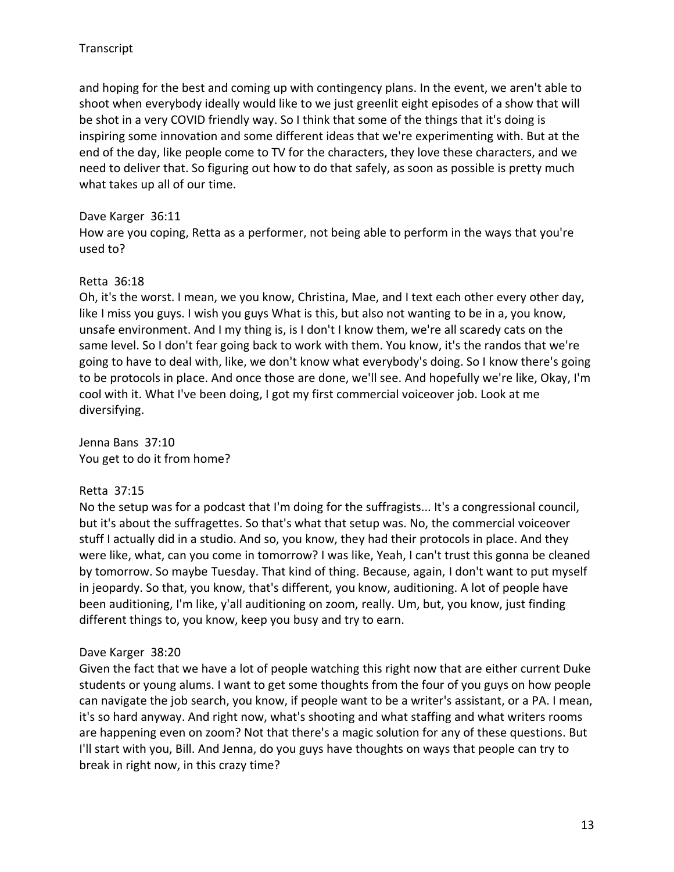and hoping for the best and coming up with contingency plans. In the event, we aren't able to shoot when everybody ideally would like to we just greenlit eight episodes of a show that will be shot in a very COVID friendly way. So I think that some of the things that it's doing is inspiring some innovation and some different ideas that we're experimenting with. But at the end of the day, like people come to TV for the characters, they love these characters, and we need to deliver that. So figuring out how to do that safely, as soon as possible is pretty much what takes up all of our time.

## Dave Karger 36:11

How are you coping, Retta as a performer, not being able to perform in the ways that you're used to?

# Retta 36:18

Oh, it's the worst. I mean, we you know, Christina, Mae, and I text each other every other day, like I miss you guys. I wish you guys What is this, but also not wanting to be in a, you know, unsafe environment. And I my thing is, is I don't I know them, we're all scaredy cats on the same level. So I don't fear going back to work with them. You know, it's the randos that we're going to have to deal with, like, we don't know what everybody's doing. So I know there's going to be protocols in place. And once those are done, we'll see. And hopefully we're like, Okay, I'm cool with it. What I've been doing, I got my first commercial voiceover job. Look at me diversifying.

Jenna Bans 37:10 You get to do it from home?

# Retta 37:15

No the setup was for a podcast that I'm doing for the suffragists... It's a congressional council, but it's about the suffragettes. So that's what that setup was. No, the commercial voiceover stuff I actually did in a studio. And so, you know, they had their protocols in place. And they were like, what, can you come in tomorrow? I was like, Yeah, I can't trust this gonna be cleaned by tomorrow. So maybe Tuesday. That kind of thing. Because, again, I don't want to put myself in jeopardy. So that, you know, that's different, you know, auditioning. A lot of people have been auditioning, I'm like, y'all auditioning on zoom, really. Um, but, you know, just finding different things to, you know, keep you busy and try to earn.

## Dave Karger 38:20

Given the fact that we have a lot of people watching this right now that are either current Duke students or young alums. I want to get some thoughts from the four of you guys on how people can navigate the job search, you know, if people want to be a writer's assistant, or a PA. I mean, it's so hard anyway. And right now, what's shooting and what staffing and what writers rooms are happening even on zoom? Not that there's a magic solution for any of these questions. But I'll start with you, Bill. And Jenna, do you guys have thoughts on ways that people can try to break in right now, in this crazy time?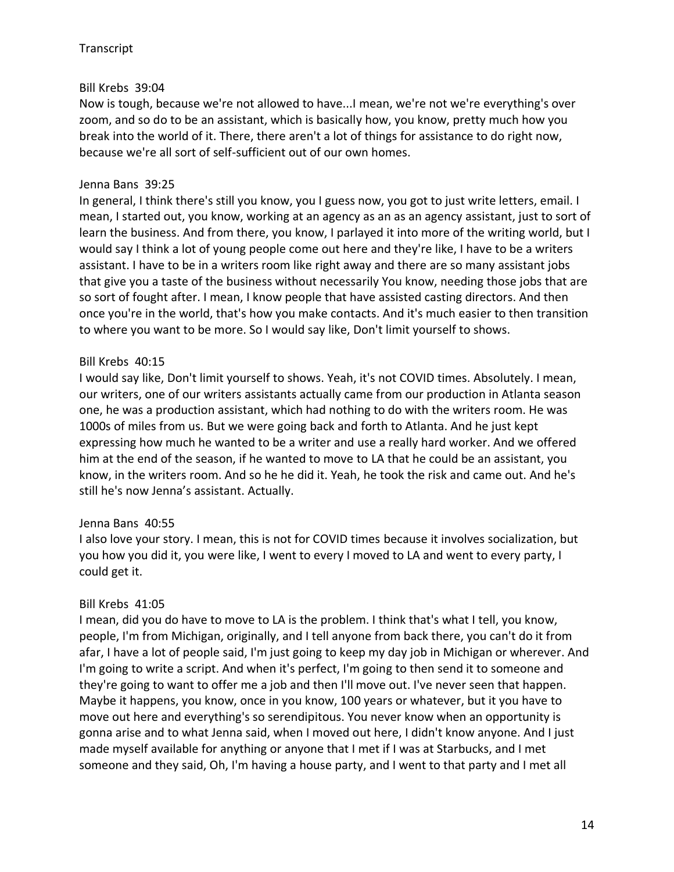## Bill Krebs 39:04

Now is tough, because we're not allowed to have...I mean, we're not we're everything's over zoom, and so do to be an assistant, which is basically how, you know, pretty much how you break into the world of it. There, there aren't a lot of things for assistance to do right now, because we're all sort of self-sufficient out of our own homes.

## Jenna Bans 39:25

In general, I think there's still you know, you I guess now, you got to just write letters, email. I mean, I started out, you know, working at an agency as an as an agency assistant, just to sort of learn the business. And from there, you know, I parlayed it into more of the writing world, but I would say I think a lot of young people come out here and they're like, I have to be a writers assistant. I have to be in a writers room like right away and there are so many assistant jobs that give you a taste of the business without necessarily You know, needing those jobs that are so sort of fought after. I mean, I know people that have assisted casting directors. And then once you're in the world, that's how you make contacts. And it's much easier to then transition to where you want to be more. So I would say like, Don't limit yourself to shows.

# Bill Krebs 40:15

I would say like, Don't limit yourself to shows. Yeah, it's not COVID times. Absolutely. I mean, our writers, one of our writers assistants actually came from our production in Atlanta season one, he was a production assistant, which had nothing to do with the writers room. He was 1000s of miles from us. But we were going back and forth to Atlanta. And he just kept expressing how much he wanted to be a writer and use a really hard worker. And we offered him at the end of the season, if he wanted to move to LA that he could be an assistant, you know, in the writers room. And so he he did it. Yeah, he took the risk and came out. And he's still he's now Jenna's assistant. Actually.

## Jenna Bans 40:55

I also love your story. I mean, this is not for COVID times because it involves socialization, but you how you did it, you were like, I went to every I moved to LA and went to every party, I could get it.

## Bill Krebs 41:05

I mean, did you do have to move to LA is the problem. I think that's what I tell, you know, people, I'm from Michigan, originally, and I tell anyone from back there, you can't do it from afar, I have a lot of people said, I'm just going to keep my day job in Michigan or wherever. And I'm going to write a script. And when it's perfect, I'm going to then send it to someone and they're going to want to offer me a job and then I'll move out. I've never seen that happen. Maybe it happens, you know, once in you know, 100 years or whatever, but it you have to move out here and everything's so serendipitous. You never know when an opportunity is gonna arise and to what Jenna said, when I moved out here, I didn't know anyone. And I just made myself available for anything or anyone that I met if I was at Starbucks, and I met someone and they said, Oh, I'm having a house party, and I went to that party and I met all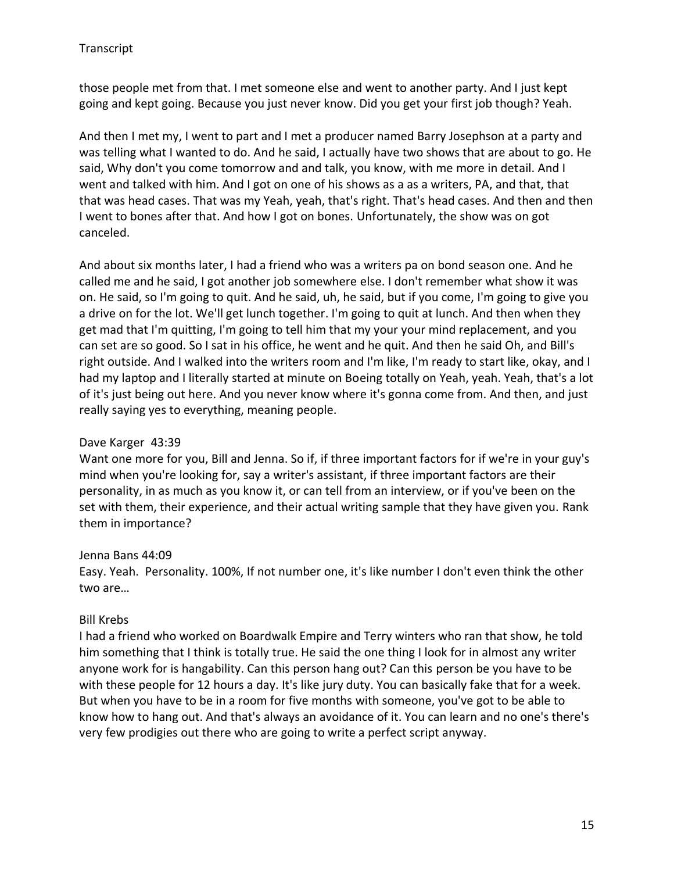those people met from that. I met someone else and went to another party. And I just kept going and kept going. Because you just never know. Did you get your first job though? Yeah.

And then I met my, I went to part and I met a producer named Barry Josephson at a party and was telling what I wanted to do. And he said, I actually have two shows that are about to go. He said, Why don't you come tomorrow and and talk, you know, with me more in detail. And I went and talked with him. And I got on one of his shows as a as a writers, PA, and that, that that was head cases. That was my Yeah, yeah, that's right. That's head cases. And then and then I went to bones after that. And how I got on bones. Unfortunately, the show was on got canceled.

And about six months later, I had a friend who was a writers pa on bond season one. And he called me and he said, I got another job somewhere else. I don't remember what show it was on. He said, so I'm going to quit. And he said, uh, he said, but if you come, I'm going to give you a drive on for the lot. We'll get lunch together. I'm going to quit at lunch. And then when they get mad that I'm quitting, I'm going to tell him that my your your mind replacement, and you can set are so good. So I sat in his office, he went and he quit. And then he said Oh, and Bill's right outside. And I walked into the writers room and I'm like, I'm ready to start like, okay, and I had my laptop and I literally started at minute on Boeing totally on Yeah, yeah. Yeah, that's a lot of it's just being out here. And you never know where it's gonna come from. And then, and just really saying yes to everything, meaning people.

#### Dave Karger 43:39

Want one more for you, Bill and Jenna. So if, if three important factors for if we're in your guy's mind when you're looking for, say a writer's assistant, if three important factors are their personality, in as much as you know it, or can tell from an interview, or if you've been on the set with them, their experience, and their actual writing sample that they have given you. Rank them in importance?

#### Jenna Bans 44:09

Easy. Yeah. Personality. 100%, If not number one, it's like number I don't even think the other two are…

#### Bill Krebs

I had a friend who worked on Boardwalk Empire and Terry winters who ran that show, he told him something that I think is totally true. He said the one thing I look for in almost any writer anyone work for is hangability. Can this person hang out? Can this person be you have to be with these people for 12 hours a day. It's like jury duty. You can basically fake that for a week. But when you have to be in a room for five months with someone, you've got to be able to know how to hang out. And that's always an avoidance of it. You can learn and no one's there's very few prodigies out there who are going to write a perfect script anyway.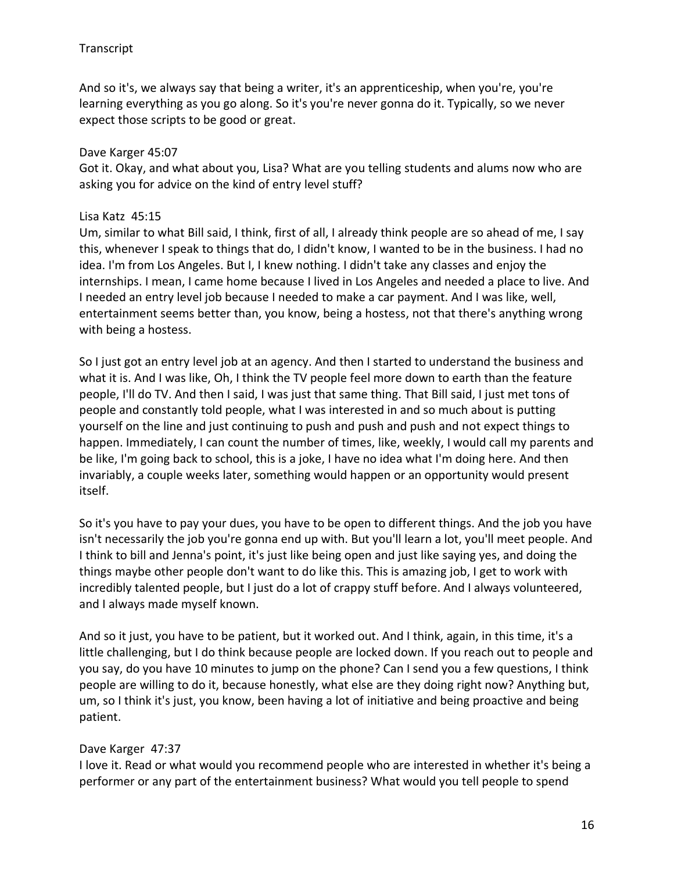And so it's, we always say that being a writer, it's an apprenticeship, when you're, you're learning everything as you go along. So it's you're never gonna do it. Typically, so we never expect those scripts to be good or great.

#### Dave Karger 45:07

Got it. Okay, and what about you, Lisa? What are you telling students and alums now who are asking you for advice on the kind of entry level stuff?

#### Lisa Katz 45:15

Um, similar to what Bill said, I think, first of all, I already think people are so ahead of me, I say this, whenever I speak to things that do, I didn't know, I wanted to be in the business. I had no idea. I'm from Los Angeles. But I, I knew nothing. I didn't take any classes and enjoy the internships. I mean, I came home because I lived in Los Angeles and needed a place to live. And I needed an entry level job because I needed to make a car payment. And I was like, well, entertainment seems better than, you know, being a hostess, not that there's anything wrong with being a hostess.

So I just got an entry level job at an agency. And then I started to understand the business and what it is. And I was like, Oh, I think the TV people feel more down to earth than the feature people, I'll do TV. And then I said, I was just that same thing. That Bill said, I just met tons of people and constantly told people, what I was interested in and so much about is putting yourself on the line and just continuing to push and push and push and not expect things to happen. Immediately, I can count the number of times, like, weekly, I would call my parents and be like, I'm going back to school, this is a joke, I have no idea what I'm doing here. And then invariably, a couple weeks later, something would happen or an opportunity would present itself.

So it's you have to pay your dues, you have to be open to different things. And the job you have isn't necessarily the job you're gonna end up with. But you'll learn a lot, you'll meet people. And I think to bill and Jenna's point, it's just like being open and just like saying yes, and doing the things maybe other people don't want to do like this. This is amazing job, I get to work with incredibly talented people, but I just do a lot of crappy stuff before. And I always volunteered, and I always made myself known.

And so it just, you have to be patient, but it worked out. And I think, again, in this time, it's a little challenging, but I do think because people are locked down. If you reach out to people and you say, do you have 10 minutes to jump on the phone? Can I send you a few questions, I think people are willing to do it, because honestly, what else are they doing right now? Anything but, um, so I think it's just, you know, been having a lot of initiative and being proactive and being patient.

#### Dave Karger 47:37

I love it. Read or what would you recommend people who are interested in whether it's being a performer or any part of the entertainment business? What would you tell people to spend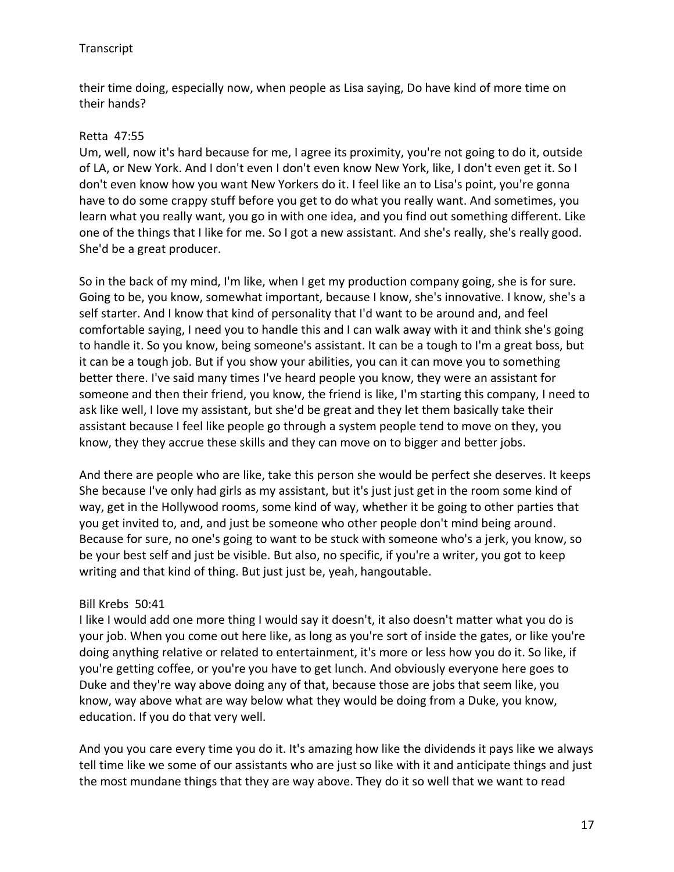their time doing, especially now, when people as Lisa saying, Do have kind of more time on their hands?

# Retta 47:55

Um, well, now it's hard because for me, I agree its proximity, you're not going to do it, outside of LA, or New York. And I don't even I don't even know New York, like, I don't even get it. So I don't even know how you want New Yorkers do it. I feel like an to Lisa's point, you're gonna have to do some crappy stuff before you get to do what you really want. And sometimes, you learn what you really want, you go in with one idea, and you find out something different. Like one of the things that I like for me. So I got a new assistant. And she's really, she's really good. She'd be a great producer.

So in the back of my mind, I'm like, when I get my production company going, she is for sure. Going to be, you know, somewhat important, because I know, she's innovative. I know, she's a self starter. And I know that kind of personality that I'd want to be around and, and feel comfortable saying, I need you to handle this and I can walk away with it and think she's going to handle it. So you know, being someone's assistant. It can be a tough to I'm a great boss, but it can be a tough job. But if you show your abilities, you can it can move you to something better there. I've said many times I've heard people you know, they were an assistant for someone and then their friend, you know, the friend is like, I'm starting this company, I need to ask like well, I love my assistant, but she'd be great and they let them basically take their assistant because I feel like people go through a system people tend to move on they, you know, they they accrue these skills and they can move on to bigger and better jobs.

And there are people who are like, take this person she would be perfect she deserves. It keeps She because I've only had girls as my assistant, but it's just just get in the room some kind of way, get in the Hollywood rooms, some kind of way, whether it be going to other parties that you get invited to, and, and just be someone who other people don't mind being around. Because for sure, no one's going to want to be stuck with someone who's a jerk, you know, so be your best self and just be visible. But also, no specific, if you're a writer, you got to keep writing and that kind of thing. But just just be, yeah, hangoutable.

## Bill Krebs 50:41

I like I would add one more thing I would say it doesn't, it also doesn't matter what you do is your job. When you come out here like, as long as you're sort of inside the gates, or like you're doing anything relative or related to entertainment, it's more or less how you do it. So like, if you're getting coffee, or you're you have to get lunch. And obviously everyone here goes to Duke and they're way above doing any of that, because those are jobs that seem like, you know, way above what are way below what they would be doing from a Duke, you know, education. If you do that very well.

And you you care every time you do it. It's amazing how like the dividends it pays like we always tell time like we some of our assistants who are just so like with it and anticipate things and just the most mundane things that they are way above. They do it so well that we want to read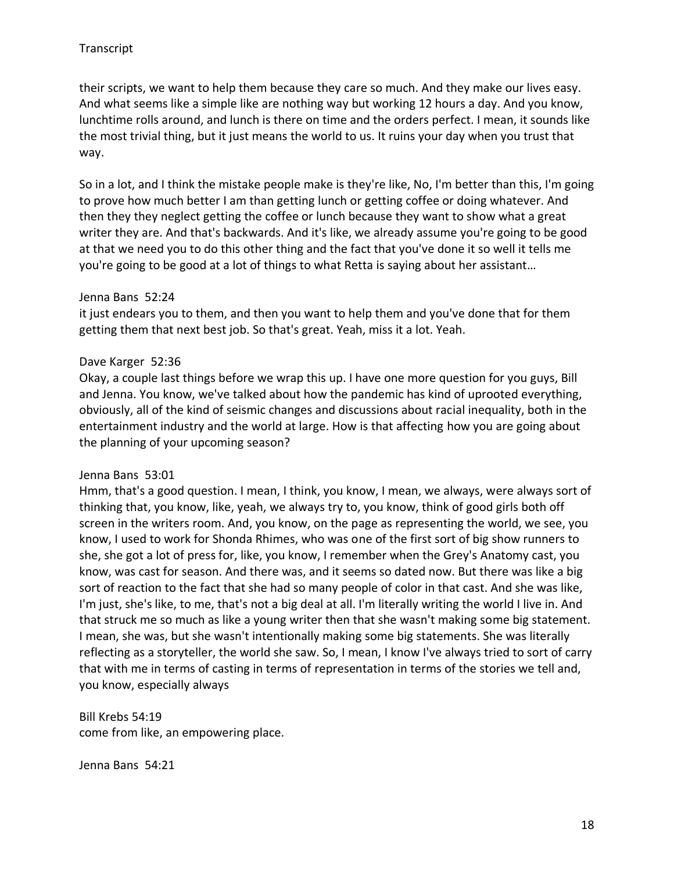their scripts, we want to help them because they care so much. And they make our lives easy. And what seems like a simple like are nothing way but working 12 hours a day. And you know, lunchtime rolls around, and lunch is there on time and the orders perfect. I mean, it sounds like the most trivial thing, but it just means the world to us. It ruins your day when you trust that way.

So in a lot, and I think the mistake people make is they're like, No, I'm better than this, I'm going to prove how much better I am than getting lunch or getting coffee or doing whatever. And then they they neglect getting the coffee or lunch because they want to show what a great writer they are. And that's backwards. And it's like, we already assume you're going to be good at that we need you to do this other thing and the fact that you've done it so well it tells me you're going to be good at a lot of things to what Retta is saying about her assistant…

#### Jenna Bans 52:24

it just endears you to them, and then you want to help them and you've done that for them getting them that next best job. So that's great. Yeah, miss it a lot. Yeah.

#### Dave Karger 52:36

Okay, a couple last things before we wrap this up. I have one more question for you guys, Bill and Jenna. You know, we've talked about how the pandemic has kind of uprooted everything, obviously, all of the kind of seismic changes and discussions about racial inequality, both in the entertainment industry and the world at large. How is that affecting how you are going about the planning of your upcoming season?

#### Jenna Bans 53:01

Hmm, that's a good question. I mean, I think, you know, I mean, we always, were always sort of thinking that, you know, like, yeah, we always try to, you know, think of good girls both off screen in the writers room. And, you know, on the page as representing the world, we see, you know, I used to work for Shonda Rhimes, who was one of the first sort of big show runners to she, she got a lot of press for, like, you know, I remember when the Grey's Anatomy cast, you know, was cast for season. And there was, and it seems so dated now. But there was like a big sort of reaction to the fact that she had so many people of color in that cast. And she was like, I'm just, she's like, to me, that's not a big deal at all. I'm literally writing the world I live in. And that struck me so much as like a young writer then that she wasn't making some big statement. I mean, she was, but she wasn't intentionally making some big statements. She was literally reflecting as a storyteller, the world she saw. So, I mean, I know I've always tried to sort of carry that with me in terms of casting in terms of representation in terms of the stories we tell and, you know, especially always

Bill Krebs 54:19 come from like, an empowering place.

Jenna Bans 54:21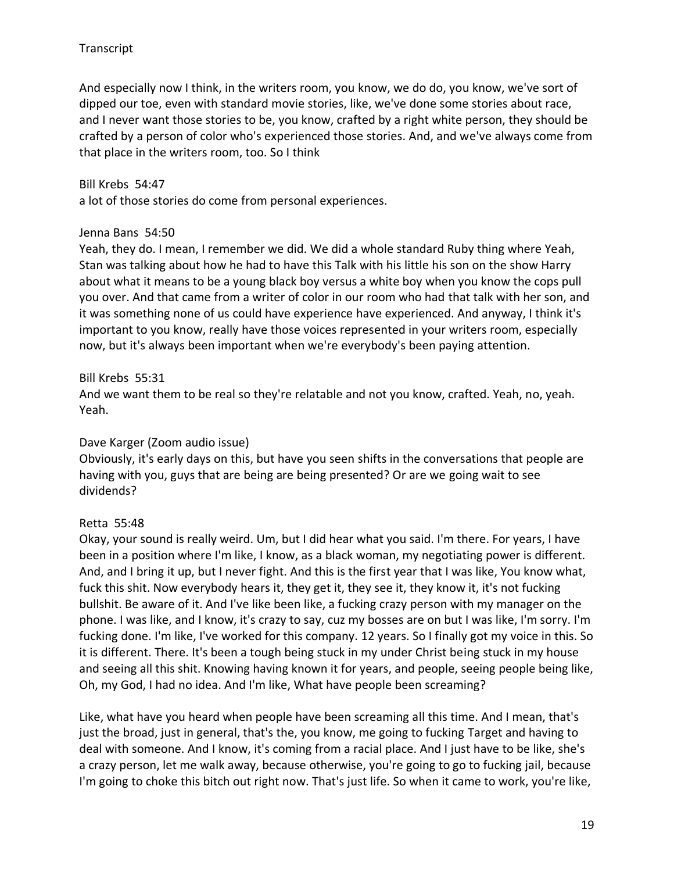And especially now I think, in the writers room, you know, we do do, you know, we've sort of dipped our toe, even with standard movie stories, like, we've done some stories about race, and I never want those stories to be, you know, crafted by a right white person, they should be crafted by a person of color who's experienced those stories. And, and we've always come from that place in the writers room, too. So I think

#### Bill Krebs 54:47

a lot of those stories do come from personal experiences.

#### Jenna Bans 54:50

Yeah, they do. I mean, I remember we did. We did a whole standard Ruby thing where Yeah, Stan was talking about how he had to have this Talk with his little his son on the show Harry about what it means to be a young black boy versus a white boy when you know the cops pull you over. And that came from a writer of color in our room who had that talk with her son, and it was something none of us could have experience have experienced. And anyway, I think it's important to you know, really have those voices represented in your writers room, especially now, but it's always been important when we're everybody's been paying attention.

## Bill Krebs 55:31

And we want them to be real so they're relatable and not you know, crafted. Yeah, no, yeah. Yeah.

## Dave Karger (Zoom audio issue)

Obviously, it's early days on this, but have you seen shifts in the conversations that people are having with you, guys that are being are being presented? Or are we going wait to see dividends?

## Retta 55:48

Okay, your sound is really weird. Um, but I did hear what you said. I'm there. For years, I have been in a position where I'm like, I know, as a black woman, my negotiating power is different. And, and I bring it up, but I never fight. And this is the first year that I was like, You know what, fuck this shit. Now everybody hears it, they get it, they see it, they know it, it's not fucking bullshit. Be aware of it. And I've like been like, a fucking crazy person with my manager on the phone. I was like, and I know, it's crazy to say, cuz my bosses are on but I was like, I'm sorry. I'm fucking done. I'm like, I've worked for this company. 12 years. So I finally got my voice in this. So it is different. There. It's been a tough being stuck in my under Christ being stuck in my house and seeing all this shit. Knowing having known it for years, and people, seeing people being like, Oh, my God, I had no idea. And I'm like, What have people been screaming?

Like, what have you heard when people have been screaming all this time. And I mean, that's just the broad, just in general, that's the, you know, me going to fucking Target and having to deal with someone. And I know, it's coming from a racial place. And I just have to be like, she's a crazy person, let me walk away, because otherwise, you're going to go to fucking jail, because I'm going to choke this bitch out right now. That's just life. So when it came to work, you're like,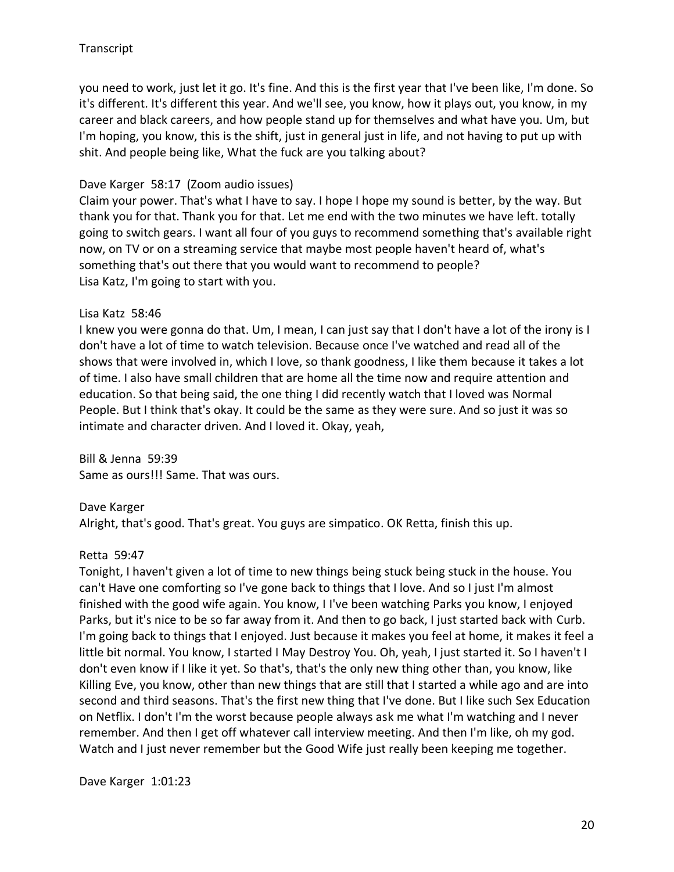you need to work, just let it go. It's fine. And this is the first year that I've been like, I'm done. So it's different. It's different this year. And we'll see, you know, how it plays out, you know, in my career and black careers, and how people stand up for themselves and what have you. Um, but I'm hoping, you know, this is the shift, just in general just in life, and not having to put up with shit. And people being like, What the fuck are you talking about?

#### Dave Karger 58:17 (Zoom audio issues)

Claim your power. That's what I have to say. I hope I hope my sound is better, by the way. But thank you for that. Thank you for that. Let me end with the two minutes we have left. totally going to switch gears. I want all four of you guys to recommend something that's available right now, on TV or on a streaming service that maybe most people haven't heard of, what's something that's out there that you would want to recommend to people? Lisa Katz, I'm going to start with you.

#### Lisa Katz 58:46

I knew you were gonna do that. Um, I mean, I can just say that I don't have a lot of the irony is I don't have a lot of time to watch television. Because once I've watched and read all of the shows that were involved in, which I love, so thank goodness, I like them because it takes a lot of time. I also have small children that are home all the time now and require attention and education. So that being said, the one thing I did recently watch that I loved was Normal People. But I think that's okay. It could be the same as they were sure. And so just it was so intimate and character driven. And I loved it. Okay, yeah,

Bill & Jenna 59:39 Same as ours!!! Same. That was ours.

#### Dave Karger

Alright, that's good. That's great. You guys are simpatico. OK Retta, finish this up.

#### Retta 59:47

Tonight, I haven't given a lot of time to new things being stuck being stuck in the house. You can't Have one comforting so I've gone back to things that I love. And so I just I'm almost finished with the good wife again. You know, I I've been watching Parks you know, I enjoyed Parks, but it's nice to be so far away from it. And then to go back, I just started back with Curb. I'm going back to things that I enjoyed. Just because it makes you feel at home, it makes it feel a little bit normal. You know, I started I May Destroy You. Oh, yeah, I just started it. So I haven't I don't even know if I like it yet. So that's, that's the only new thing other than, you know, like Killing Eve, you know, other than new things that are still that I started a while ago and are into second and third seasons. That's the first new thing that I've done. But I like such Sex Education on Netflix. I don't I'm the worst because people always ask me what I'm watching and I never remember. And then I get off whatever call interview meeting. And then I'm like, oh my god. Watch and I just never remember but the Good Wife just really been keeping me together.

Dave Karger 1:01:23